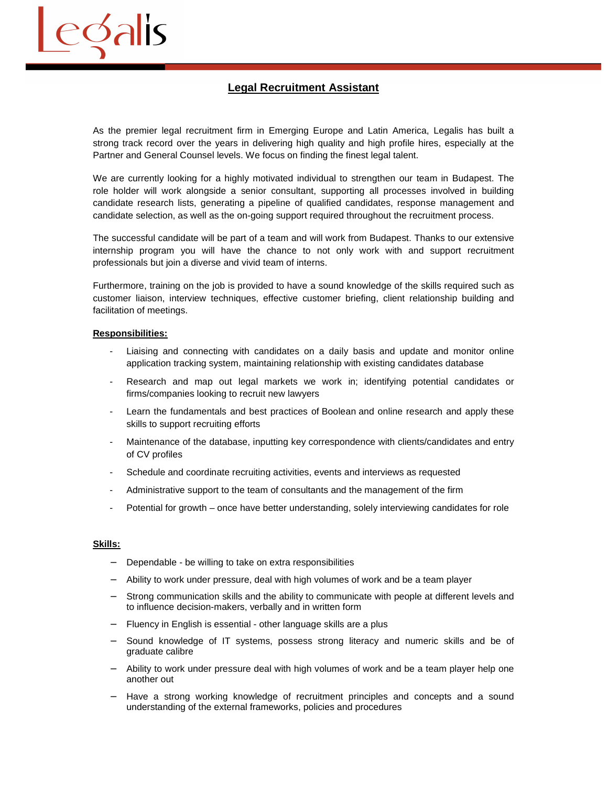

As the premier legal recruitment firm in Emerging Europe and Latin America, Legalis has built a strong track record over the years in delivering high quality and high profile hires, especially at the Partner and General Counsel levels. We focus on finding the finest legal talent.

We are currently looking for a highly motivated individual to strengthen our team in Budapest. The role holder will work alongside a senior consultant, supporting all processes involved in building candidate research lists, generating a pipeline of qualified candidates, response management and candidate selection, as well as the on-going support required throughout the recruitment process.

The successful candidate will be part of a team and will work from Budapest. Thanks to our extensive internship program you will have the chance to not only work with and support recruitment professionals but join a diverse and vivid team of interns.

Furthermore, training on the job is provided to have a sound knowledge of the skills required such as customer liaison, interview techniques, effective customer briefing, client relationship building and facilitation of meetings.

## **Responsibilities:**

edalis

- Liaising and connecting with candidates on a daily basis and update and monitor online application tracking system, maintaining relationship with existing candidates database
- Research and map out legal markets we work in; identifying potential candidates or firms/companies looking to recruit new lawyers
- Learn the fundamentals and best practices of Boolean and online research and apply these skills to support recruiting efforts
- Maintenance of the database, inputting key correspondence with clients/candidates and entry of CV profiles
- Schedule and coordinate recruiting activities, events and interviews as requested
- Administrative support to the team of consultants and the management of the firm
- Potential for growth once have better understanding, solely interviewing candidates for role

## **Skills:**

- Dependable be willing to take on extra responsibilities
- − Ability to work under pressure, deal with high volumes of work and be a team player
- Strong communication skills and the ability to communicate with people at different levels and to influence decision-makers, verbally and in written form
- Fluency in English is essential other language skills are a plus
- − Sound knowledge of IT systems, possess strong literacy and numeric skills and be of graduate calibre
- − Ability to work under pressure deal with high volumes of work and be a team player help one another out
- − Have a strong working knowledge of recruitment principles and concepts and a sound understanding of the external frameworks, policies and procedures